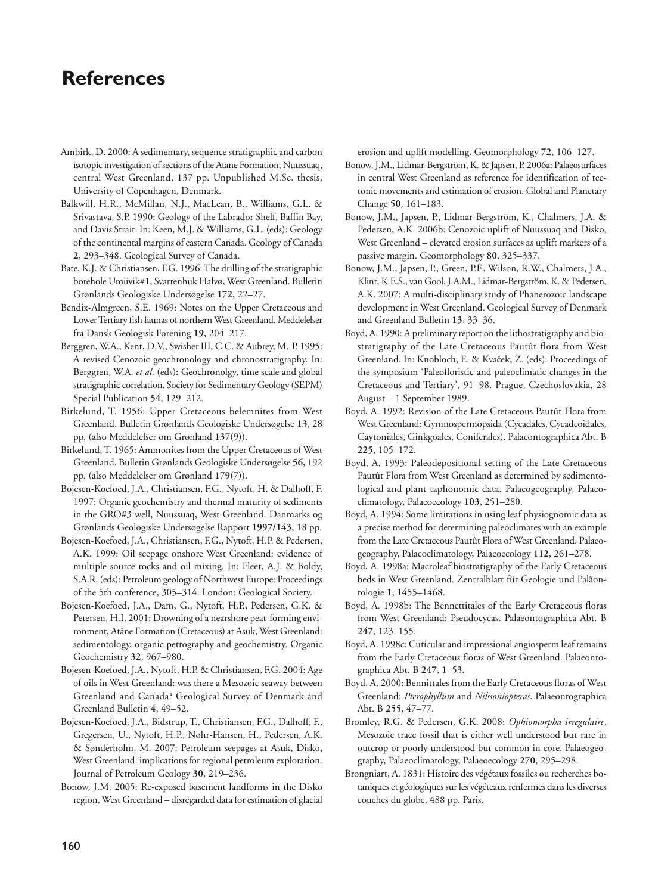# **References**

- Ambirk, D. 2000: A sedimentary, sequence stratigraphic and carbon isotopic investigation of sections of the Atane Formation, Nuussuaq, central West Greenland, 137 pp. Unpublished M.Sc. thesis, University of Copenhagen, Denmark.
- Balkwill, H.R., McMillan, N.J., MacLean, B., Williams, G.L. & Srivastava, S.P. 1990: Geology of the Labrador Shelf, Baffin Bay, and Davis Strait. In: Keen, M.J. & Williams, G.L. (eds): Geology of the continental margins of eastern Canada. Geology of Canada **2**, 293–348. Geological Survey of Canada.
- Bate, K.J. & Christiansen, F.G. 1996: The drilling of the stratigraphic borehole Umiivik#1, Svartenhuk Halvø, West Greenland. Bulletin Grønlands Geologiske Undersøgelse **172**, 22–27.
- Bendix-Almgreen, S.E. 1969: Notes on the Upper Cretaceous and Lower Tertiary fish faunas of northern West Greenland. Meddelelser fra Dansk Geologisk Forening **19**, 204–217.
- Berggren, W.A., Kent, D.V., Swisher III, C.C. & Aubrey, M.-P. 1995: A revised Cenozoic geochronology and chronostratigraphy. In: Berggren, W.A. *et al*. (eds): Geochronolgy, time scale and global stratigraphic correlation. Society for Sedimentary Geology (SEPM) Special Publication **54**, 129–212.
- Birkelund, T. 1956: Upper Cretaceous belemnites from West Greenland. Bulletin Grønlands Geologiske Undersøgelse **13**, 28 pp. (also Meddelelser om Grønland **137**(9)).
- Birkelund, T. 1965: Ammonites from the Upper Cretaceous of West Greenland. Bulletin Grønlands Geologiske Undersøgelse **56**, 192 pp. (also Meddelelser om Grønland **179**(7)).
- Bojesen-Koefoed, J.A., Christiansen, F.G., Nytoft, H. & Dalhoff, F. 1997: Organic geochemistry and thermal maturity of sediments in the GRO#3 well, Nuussuaq, West Greenland. Danmarks og Grønlands Geologiske Undersøgelse Rapport **1997/143**, 18 pp.
- Bojesen-Koefoed, J.A., Christiansen, F.G., Nytoft, H.P. & Pedersen, A.K. 1999: Oil seepage onshore West Greenland: evidence of multiple source rocks and oil mixing. In: Fleet, A.J. & Boldy, S.A.R. (eds): Petroleum geology of Northwest Europe: Proceedings of the 5th conference, 305–314. London: Geological Society.
- Bojesen-Koefoed, J.A., Dam, G., Nytoft, H.P., Pedersen, G.K. & Petersen, H.I. 2001: Drowning of a nearshore peat-forming environment, Atâne Formation (Cretaceous) at Asuk, West Greenland: sedimentology, organic petrography and geochemistry. Organic Geochemistry **32**, 967–980.
- Bojesen-Koefoed, J.A., Nytoft, H.P. & Christiansen, F.G. 2004: Age of oils in West Greenland: was there a Mesozoic seaway between Greenland and Canada? Geological Survey of Denmark and Greenland Bulletin **4**, 49–52.
- Bojesen-Koefoed, J.A., Bidstrup, T., Christiansen, F.G., Dalhoff, F., Gregersen, U., Nytoft, H.P., Nøhr-Hansen, H., Pedersen, A.K. & Sønderholm, M. 2007: Petroleum seepages at Asuk, Disko, West Greenland: implications for regional petroleum exploration. Journal of Petroleum Geology **30**, 219–236.
- Bonow, J.M. 2005: Re-exposed basement landforms in the Disko region, West Greenland – disregarded data for estimation of glacial

erosion and uplift modelling. Geomorphology **72**, 106–127.

- Bonow, J.M., Lidmar-Bergström, K. & Japsen, P. 2006a: Palaeosurfaces in central West Greenland as reference for identification of tectonic movements and estimation of erosion. Global and Planetary Change **50**, 161–183.
- Bonow, J.M., Japsen, P., Lidmar-Bergström, K., Chalmers, J.A. & Pedersen, A.K. 2006b: Cenozoic uplift of Nuussuaq and Disko, West Greenland – elevated erosion surfaces as uplift markers of a passive margin. Geomorphology **80**, 325–337.
- Bonow, J.M., Japsen, P., Green, P.F., Wilson, R.W., Chalmers, J.A., Klint, K.E.S., van Gool, J.A.M., Lidmar-Bergström, K. & Pedersen, A.K. 2007: A multi-disciplinary study of Phanerozoic landscape development in West Greenland. Geological Survey of Denmark and Greenland Bulletin **13**, 33–36.
- Boyd, A. 1990: A preliminary report on the lithostratigraphy and biostratigraphy of the Late Cretaceous Pautût flora from West Greenland. In: Knobloch, E. & Kvaˇcek, Z. (eds): Proceedings of the symposium 'Paleofloristic and paleoclimatic changes in the Cretaceous and Tertiary', 91–98. Prague, Czechoslovakia, 28 August – 1 September 1989.
- Boyd, A. 1992: Revision of the Late Cretaceous Pautût Flora from West Greenland: Gymnospermopsida (Cycadales, Cycadeoidales, Caytoniales, Ginkgoales, Coniferales). Palaeontographica Abt. B **225**, 105–172.
- Boyd, A. 1993: Paleodepositional setting of the Late Cretaceous Pautût Flora from West Greenland as determined by sedimentological and plant taphonomic data. Palaeogeography, Palaeoclimatology, Palaeoecology **103**, 251–280.
- Boyd, A. 1994: Some limitations in using leaf physiognomic data as a precise method for determining paleoclimates with an example from the Late Cretaceous Pautût Flora of West Greenland. Palaeogeography, Palaeoclimatology, Palaeoecology **112**, 261–278.
- Boyd, A. 1998a: Macroleaf biostratigraphy of the Early Cretaceous beds in West Greenland. Zentralblatt für Geologie und Paläontologie **1**, 1455–1468.
- Boyd, A. 1998b: The Bennettitales of the Early Cretaceous floras from West Greenland: Pseudocycas. Palaeontographica Abt. B **247**, 123–155.
- Boyd, A. 1998c: Cuticular and impressional angiosperm leaf remains from the Early Cretaceous floras of West Greenland. Palaeontographica Abt. B **247**, 1–53.
- Boyd, A. 2000: Bennittales from the Early Cretaceous floras of West Greenland: *Pterophyllum* and *Nilssoniopteras*. Palaeontographica Abt. B **255**, 47–77.
- Bromley, R.G. & Pedersen, G.K. 2008: *Ophiomorpha irregulaire*, Mesozoic trace fossil that is either well understood but rare in outcrop or poorly understood but common in core. Palaeogeography, Palaeoclimatology, Palaeoecology **270**, 295–298.
- Brongniart, A. 1831: Histoire des végétaux fossiles ou recherches bo taniques et géologiques sur les végéteaux renfermes dans les diverses couches du globe, 488 pp. Paris.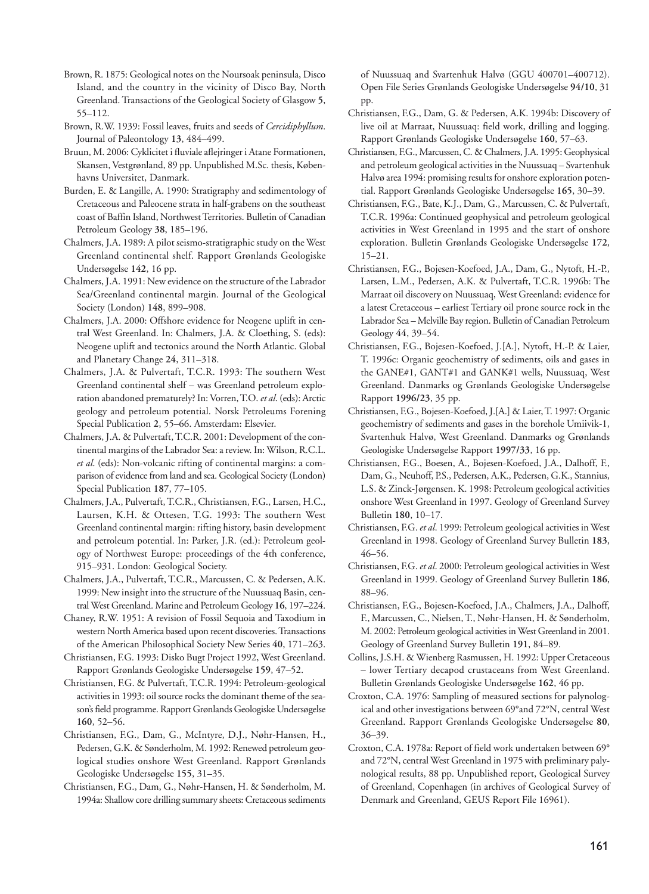- Brown, R. 1875: Geological notes on the Noursoak peninsula, Disco Island, and the country in the vicinity of Disco Bay, North Greenland. Transactions of the Geological Society of Glasgow **5**, 55–112.
- Brown, R.W. 1939: Fossil leaves, fruits and seeds of *Cercidiphyllum*. Journal of Paleontology **13**, 484–499.
- Bruun, M. 2006: Cyklicitet i fluviale aflejringer i Atane Formationen, Skansen, Vestgrønland, 89 pp. Unpublished M.Sc. thesis, Københavns Universitet, Danmark.
- Burden, E. & Langille, A. 1990: Stratigraphy and sedimentology of Cretaceous and Paleocene strata in half-grabens on the southeast coast of Baffin Island, Northwest Territories. Bulletin of Canadian Petroleum Geology **38**, 185–196.
- Chalmers, J.A. 1989: A pilot seismo-stratigraphic study on the West Greenland continental shelf. Rapport Grønlands Geologiske Undersøgelse **142**, 16 pp.
- Chalmers, J.A. 1991: New evidence on the structure of the Labrador Sea/Greenland continental margin. Journal of the Geological Society (London) **148**, 899–908.
- Chalmers, J.A. 2000: Offshore evidence for Neogene uplift in central West Greenland. In: Chalmers, J.A. & Cloething, S. (eds): Neogene uplift and tectonics around the North Atlantic. Global and Planetary Change **24**, 311–318.
- Chalmers, J.A. & Pulvertaft, T.C.R. 1993: The southern West Greenland continental shelf – was Greenland petroleum exploration abandoned prematurely? In: Vorren, T.O. *et al*. (eds): Arctic geology and petroleum potential. Norsk Petroleums Forening Special Publication **2**, 55–66. Amsterdam: Elsevier.
- Chalmers, J.A. & Pulvertaft, T.C.R. 2001: Development of the continental margins of the Labrador Sea: a review. In: Wilson, R.C.L. *et al*. (eds): Non-volcanic rifting of continental margins: a comparison of evidence from land and sea. Geological Society (London) Special Publication **187**, 77–105.
- Chalmers, J.A., Pulvertaft, T.C.R., Christiansen, F.G., Larsen, H.C., Laursen, K.H. & Ottesen, T.G. 1993: The southern West Greenland continental margin: rifting history, basin development and petroleum potential. In: Parker, J.R. (ed.): Petroleum geology of Northwest Europe: proceedings of the 4th conference, 915–931. London: Geological Society.
- Chalmers, J.A., Pulvertaft, T.C.R., Marcussen, C. & Pedersen, A.K. 1999: New insight into the structure of the Nuussuaq Basin, central West Greenland. Marine and Petroleum Geology **16**, 197–224.
- Chaney, R.W. 1951: A revision of Fossil Sequoia and Taxodium in western North America based upon recent discoveries. Transactions of the American Philosophical Society New Series **40**, 171–263.
- Christiansen, F.G. 1993: Disko Bugt Project 1992, West Greenland. Rapport Grønlands Geologiske Undersøgelse **159**, 47–52.
- Christiansen, F.G. & Pulvertaft, T.C.R. 1994: Petroleum-geological activities in 1993: oil source rocks the dominant theme of the season's field programme. Rapport Grønlands Geologiske Undersøgelse **160**, 52–56.
- Christiansen, F.G., Dam, G., McIntyre, D.J., Nøhr-Hansen, H., Pedersen, G.K. & Sønderholm, M. 1992: Renewed petroleum geological studies onshore West Greenland. Rapport Grønlands Geologiske Undersøgelse **155**, 31–35.
- Christiansen, F.G., Dam, G., Nøhr-Hansen, H. & Sønderholm, M. 1994a: Shallow core drilling summary sheets: Cretaceous sediments

of Nuussuaq and Svartenhuk Halvø (GGU 400701–400712). Open File Series Grønlands Geologiske Undersøgelse **94/10**, 31 pp.

- Christiansen, F.G., Dam, G. & Pedersen, A.K. 1994b: Discovery of live oil at Marraat, Nuussuaq: field work, drilling and logging. Rapport Grønlands Geologiske Undersøgelse **160**, 57–63.
- Christiansen, F.G., Marcussen, C. & Chalmers, J.A. 1995: Geophysical and petroleum geological activities in the Nuussuaq – Svartenhuk Halvø area 1994: promising results for onshore exploration potential. Rapport Grønlands Geologiske Undersøgelse **165**, 30–39.
- Christiansen, F.G., Bate, K.J., Dam, G., Marcussen, C. & Pulvertaft, T.C.R. 1996a: Continued geophysical and petroleum geological activities in West Greenland in 1995 and the start of onshore exploration. Bulletin Grønlands Geologiske Undersøgelse **172**, 15–21.
- Christiansen, F.G., Bojesen-Koefoed, J.A., Dam, G., Nytoft, H.-P., Larsen, L.M., Pedersen, A.K. & Pulvertaft, T.C.R. 1996b: The Marraat oil discovery on Nuussuaq, West Greenland: evidence for a latest Cretaceous – earliest Tertiary oil prone source rock in the Labrador Sea – Melville Bay region. Bulletin of Canadian Petroleum Geology **44**, 39–54.
- Christiansen, F.G., Bojesen-Koefoed, J.[A.], Nytoft, H.-P. & Laier, T. 1996c: Organic geochemistry of sediments, oils and gases in the GANE#1, GANT#1 and GANK#1 wells, Nuussuaq, West Greenland. Danmarks og Grønlands Geologiske Undersøgelse Rapport **1996/23**, 35 pp.
- Christiansen, F.G., Bojesen-Koefoed, J.[A.] & Laier, T. 1997: Organic geochemistry of sediments and gases in the borehole Umiivik-1, Svartenhuk Halvø, West Greenland. Danmarks og Grønlands Geologiske Undersøgelse Rapport **1997/33**, 16 pp.
- Christiansen, F.G., Boesen, A., Bojesen-Koefoed, J.A., Dalhoff, F., Dam, G., Neuhoff, P.S., Pedersen, A.K., Pedersen, G.K., Stannius, L.S. & Zinck-Jørgensen. K. 1998: Petroleum geological activities onshore West Greenland in 1997. Geology of Greenland Survey Bulletin **180**, 10–17.
- Christiansen, F.G. *et al*. 1999: Petroleum geological activities in West Greenland in 1998. Geology of Greenland Survey Bulletin **183**, 46–56.
- Christiansen, F.G. *et al*. 2000: Petroleum geological activities in West Greenland in 1999. Geology of Greenland Survey Bulletin **186**, 88–96.
- Christiansen, F.G., Bojesen-Koefoed, J.A., Chalmers, J.A., Dalhoff, F., Marcussen, C., Nielsen, T., Nøhr-Hansen, H. & Sønderholm, M. 2002: Petroleum geological activities in West Greenland in 2001. Geology of Greenland Survey Bulletin **191**, 84–89.
- Collins, J.S.H. & Wienberg Rasmussen, H. 1992: Upper Cretaceous – lower Tertiary decapod crustaceans from West Greenland. Bulletin Grønlands Geologiske Undersøgelse **162**, 46 pp.
- Croxton, C.A. 1976: Sampling of measured sections for palynological and other investigations between 69°and 72°N, central West Greenland. Rapport Grønlands Geologiske Undersøgelse **80**, 36–39.
- Croxton, C.A. 1978a: Report of field work undertaken between 69° and 72°N, central West Greenland in 1975 with preliminary palynological results, 88 pp. Unpublished report, Geological Survey of Greenland, Copenhagen (in archives of Geological Survey of Denmark and Greenland, GEUS Report File 16961).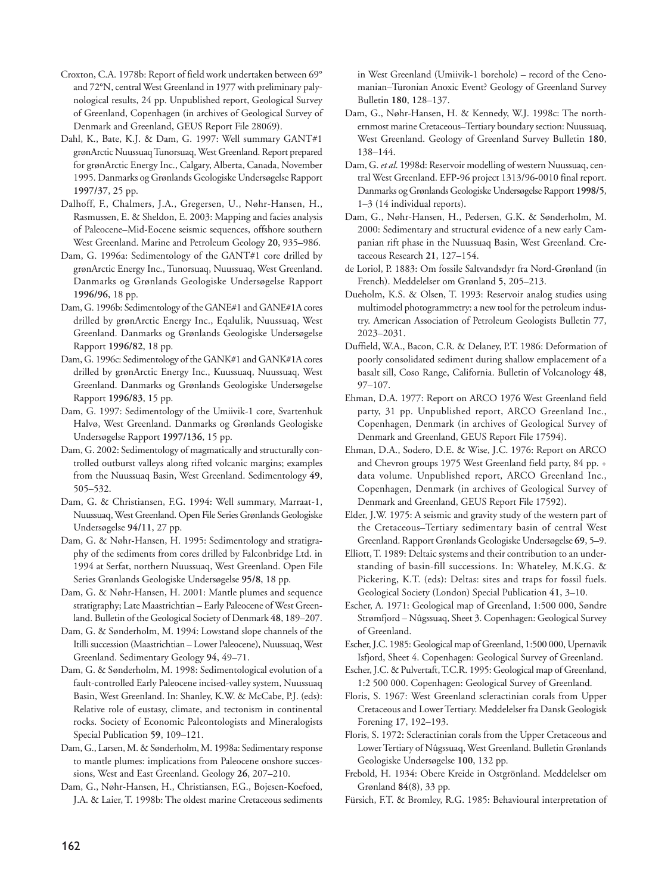- Croxton, C.A. 1978b: Report of field work undertaken between 69° and 72°N, central West Greenland in 1977 with preliminary palynological results, 24 pp. Unpublished report, Geological Survey of Greenland, Copenhagen (in archives of Geological Survey of Denmark and Greenland, GEUS Report File 28069).
- Dahl, K., Bate, K.J. & Dam, G. 1997: Well summary GANT#1 grønArctic Nuussuaq Tunorsuaq, West Greenland. Report prepared for grønArctic Energy Inc., Calgary, Alberta, Canada, November 1995. Danmarks og Grønlands Geologiske Undersøgelse Rapport **1997/37**, 25 pp.
- Dalhoff, F., Chalmers, J.A., Gregersen, U., Nøhr-Hansen, H., Rasmussen, E. & Sheldon, E. 2003: Mapping and facies analysis of Paleocene–Mid-Eocene seismic sequences, offshore southern West Greenland. Marine and Petroleum Geology **20**, 935–986.
- Dam, G. 1996a: Sedimentology of the GANT#1 core drilled by grønArctic Energy Inc., Tunorsuaq, Nuussuaq, West Greenland. Danmarks og Grønlands Geologiske Undersøgelse Rapport **1996/96**, 18 pp.
- Dam, G. 1996b: Sedimentology of the GANE#1 and GANE#1A cores drilled by grønArctic Energy Inc., Eqalulik, Nuussuaq, West Greenland. Danmarks og Grønlands Geologiske Undersøgelse Rapport **1996/82**, 18 pp.
- Dam, G. 1996c: Sedimentology of the GANK#1 and GANK#1A cores drilled by grønArctic Energy Inc., Kuussuaq, Nuussuaq, West Greenland. Danmarks og Grønlands Geologiske Undersøgelse Rapport **1996/83**, 15 pp.
- Dam, G. 1997: Sedimentology of the Umiivik-1 core, Svartenhuk Halvø, West Greenland. Danmarks og Grønlands Geologiske Undersøgelse Rapport **1997/136**, 15 pp.
- Dam, G. 2002: Sedimentology of magmatically and structurally controlled outburst valleys along rifted volcanic margins; examples from the Nuussuaq Basin, West Greenland. Sedimentology **49**, 505–532.
- Dam, G. & Christiansen, F.G. 1994: Well summary, Marraat-1, Nuussuaq, West Greenland. Open File Series Grønlands Geologiske Undersøgelse **94/11**, 27 pp.
- Dam, G. & Nøhr-Hansen, H. 1995: Sedimentology and stratigraphy of the sediments from cores drilled by Falconbridge Ltd. in 1994 at Serfat, northern Nuussuaq, West Greenland. Open File Series Grønlands Geologiske Undersøgelse **95/8**, 18 pp.
- Dam, G. & Nøhr-Hansen, H. 2001: Mantle plumes and sequence stratigraphy; Late Maastrichtian – Early Paleocene of West Green land. Bulletin of the Geological Society of Denmark **48**, 189–207.
- Dam, G. & Sønderholm, M. 1994: Lowstand slope channels of the Itilli succession (Maastrichtian – Lower Paleocene), Nuussuaq, West Greenland. Sedimentary Geology **94**, 49–71.
- Dam, G. & Sønderholm, M. 1998: Sedimentological evolution of a fault-controlled Early Paleocene incised-valley system, Nuussuaq Basin, West Greenland. In: Shanley, K.W. & McCabe, P.J. (eds): Relative role of eustasy, climate, and tectonism in continental rocks. Society of Economic Paleontologists and Mineralogists Special Publication **59**, 109–121.
- Dam, G., Larsen, M. & Sønderholm, M. 1998a: Sedimentary response to mantle plumes: implications from Paleocene onshore successions, West and East Greenland. Geology **26**, 207–210.
- Dam, G., Nøhr-Hansen, H., Christiansen, F.G., Bojesen-Koefoed, J.A. & Laier, T. 1998b: The oldest marine Cretaceous sediments

in West Greenland (Umiivik-1 borehole) – record of the Cenomanian–Turonian Anoxic Event? Geology of Greenland Survey Bulletin **180**, 128–137.

- Dam, G., Nøhr-Hansen, H. & Kennedy, W.J. 1998c: The northernmost marine Cretaceous–Tertiary boundary section: Nuussuaq, West Greenland. Geology of Greenland Survey Bulletin **180**, 138–144.
- Dam, G. *et al*. 1998d: Reservoir modelling of western Nuussuaq, central West Greenland. EFP-96 project 1313/96-0010 final report. Danmarks og Grønlands Geologiske Undersøgelse Rapport **1998/5**, 1–3 (14 individual reports).
- Dam, G., Nøhr-Hansen, H., Pedersen, G.K. & Sønderholm, M. 2000: Sedimentary and structural evidence of a new early Campanian rift phase in the Nuussuaq Basin, West Greenland. Cretaceous Research **21**, 127–154.
- de Loriol, P. 1883: Om fossile Saltvandsdyr fra Nord-Grønland (in French). Meddelelser om Grønland **5**, 205–213.
- Dueholm, K.S. & Olsen, T. 1993: Reservoir analog studies using multimodel photogrammetry: a new tool for the petroleum industry. American Association of Petroleum Geologists Bulletin **77**, 2023–2031.
- Duffield, W.A., Bacon, C.R. & Delaney, P.T. 1986: Deformation of poorly consolidated sediment during shallow emplacement of a basalt sill, Coso Range, California. Bulletin of Volcanology **48**, 97–107.
- Ehman, D.A. 1977: Report on ARCO 1976 West Greenland field party, 31 pp. Unpublished report, ARCO Greenland Inc., Copenhagen, Denmark (in archives of Geological Survey of Denmark and Greenland, GEUS Report File 17594).
- Ehman, D.A., Sodero, D.E. & Wise, J.C. 1976: Report on ARCO and Chevron groups 1975 West Greenland field party, 84 pp. + data volume. Unpublished report, ARCO Greenland Inc., Copenhagen, Denmark (in archives of Geological Survey of Denmark and Greenland, GEUS Report File 17592).
- Elder, J.W. 1975: A seismic and gravity study of the western part of the Cretaceous–Tertiary sedimentary basin of central West Greenland. Rapport Grønlands Geologiske Undersøgelse **69**, 5–9.
- Elliott, T. 1989: Deltaic systems and their contribution to an understanding of basin-fill successions. In: Whateley, M.K.G. & Pickering, K.T. (eds): Deltas: sites and traps for fossil fuels. Geological Society (London) Special Publication **41**, 3–10.
- Escher, A. 1971: Geological map of Greenland, 1:500 000, Søndre Strømfjord – Nûgssuaq, Sheet 3. Copenhagen: Geological Survey of Greenland.
- Escher, J.C. 1985: Geological map of Greenland, 1:500 000, Upernavik Isfjord, Sheet 4. Copenhagen: Geological Survey of Greenland.
- Escher, J.C. & Pulvertaft, T.C.R. 1995: Geological map of Greenland, 1:2 500 000. Copenhagen: Geological Survey of Greenland.
- Floris, S. 1967: West Greenland scleractinian corals from Upper Cretaceous and Lower Tertiary. Meddelelser fra Dansk Geologisk Forening **17**, 192–193.
- Floris, S. 1972: Scleractinian corals from the Upper Cretaceous and Lower Tertiary of Nûgssuaq, West Greenland. Bulletin Grønlands Geologiske Undersøgelse **100**, 132 pp.
- Frebold, H. 1934: Obere Kreide in Ostgrönland. Meddelelser om Grønland **84**(8), 33 pp.
- Fürsich, F.T. & Bromley, R.G. 1985: Behavioural interpretation of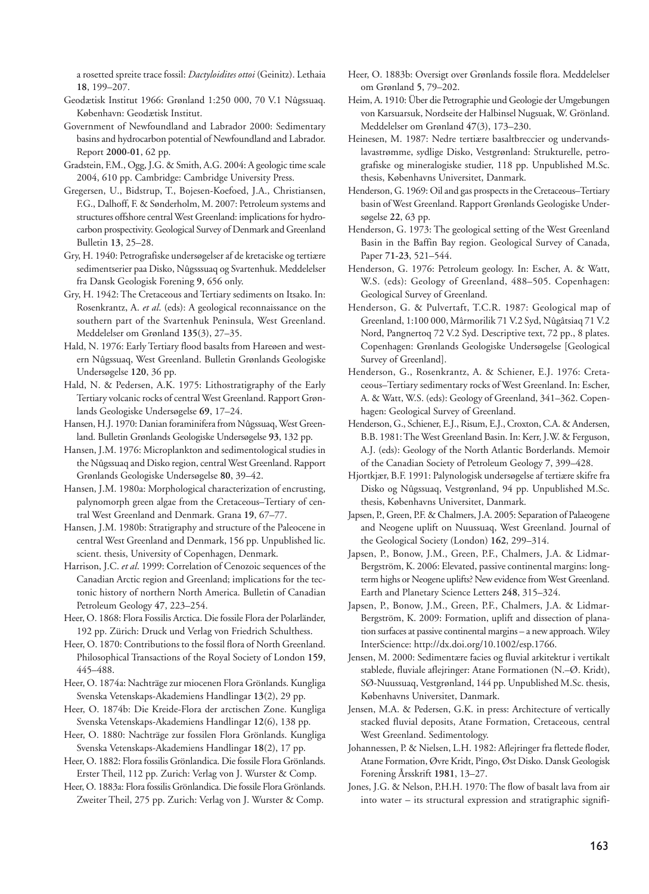a rosetted spreite trace fossil: *Dactyloidites ottoi* (Geinitz). Lethaia **18**, 199–207.

- Geodætisk Institut 1966: Grønland 1:250 000, 70 V.1 Nûgssuaq. København: Geodætisk Institut.
- Government of Newfoundland and Labrador 2000: Sedimentary basins and hydrocarbon potential of Newfoundland and Labrador. Report **2000-01**, 62 pp.
- Gradstein, F.M., Ogg, J.G. & Smith, A.G. 2004: A geologic time scale 2004, 610 pp. Cambridge: Cambridge University Press.
- Gregersen, U., Bidstrup, T., Bojesen-Koefoed, J.A., Christiansen, F.G., Dalhoff, F. & Sønderholm, M. 2007: Petroleum systems and structures offshore central West Greenland: implications for hydrocarbon prospectivity. Geological Survey of Denmark and Greenland Bulletin **13**, 25–28.
- Gry, H. 1940: Petrografiske undersøgelser af de kretaciske og tertiære sedimentserier paa Disko, Nûgsssuaq og Svartenhuk. Meddelelser fra Dansk Geologisk Forening **9**, 656 only.
- Gry, H. 1942: The Cretaceous and Tertiary sediments on Itsako. In: Rosenkrantz, A. *et al*. (eds): A geological reconnaissance on the southern part of the Svartenhuk Peninsula, West Greenland. Meddelelser om Grønland **135**(3), 27–35.
- Hald, N. 1976: Early Tertiary flood basalts from Hareøen and western Nûgssuaq, West Greenland. Bulletin Grønlands Geologiske Undersøgelse **120**, 36 pp.
- Hald, N. & Pedersen, A.K. 1975: Lithostratigraphy of the Early Tertiary volcanic rocks of central West Greenland. Rapport Grøn lands Geologiske Undersøgelse **69**, 17–24.
- Hansen, H.J. 1970: Danian foraminifera from Nûgssuaq, West Green land. Bulletin Grønlands Geologiske Undersøgelse **93**, 132 pp.
- Hansen, J.M. 1976: Microplankton and sedimentological studies in the Nûgssuaq and Disko region, central West Greenland. Rapport Grønlands Geologiske Undersøgelse **80**, 39–42.
- Hansen, J.M. 1980a: Morphological characterization of encrusting, palynomorph green algae from the Cretaceous–Tertiary of central West Greenland and Denmark. Grana **19**, 67–77.
- Hansen, J.M. 1980b: Stratigraphy and structure of the Paleocene in central West Greenland and Denmark, 156 pp. Unpublished lic. scient. thesis, University of Copenhagen, Denmark.
- Harrison, J.C. *et al*. 1999: Correlation of Cenozoic sequences of the Canadian Arctic region and Greenland; implications for the tectonic history of northern North America. Bulletin of Canadian Petroleum Geology **47**, 223–254.
- Heer, O. 1868: Flora Fossilis Arctica. Die fossile Flora der Polarländer, 192 pp. Zürich: Druck und Verlag von Friedrich Schulthess.
- Heer, O. 1870: Contributions to the fossil flora of North Greenland. Philosophical Transactions of the Royal Society of London **159**, 445–488.
- Heer, O. 1874a: Nachträge zur miocenen Flora Grönlands. Kungliga Svenska Vetenskaps-Akademiens Handlingar **13**(2), 29 pp.
- Heer, O. 1874b: Die Kreide-Flora der arctischen Zone. Kungliga Svenska Vetenskaps-Akademiens Handlingar **12**(6), 138 pp.
- Heer, O. 1880: Nachträge zur fossilen Flora Grönlands. Kungliga Svenska Vetenskaps-Akademiens Handlingar **18**(2), 17 pp.
- Heer, O. 1882: Flora fossilis Grönlandica. Die fossile Flora Grönlands. Erster Theil, 112 pp. Zurich: Verlag von J. Wurster & Comp.

Heer, O. 1883a: Flora fossilis Grönlandica. Die fossile Flora Grönlands. Zweiter Theil, 275 pp. Zurich: Verlag von J. Wurster & Comp.

- Heer, O. 1883b: Oversigt over Grønlands fossile flora. Meddelelser om Grønland **5**, 79–202.
- Heim, A. 1910: Über die Petrographie und Geologie der Umgebungen von Karsuarsuk, Nordseite der Halbinsel Nugsuak, W. Grönland. Meddelelser om Grønland **47**(3), 173–230.
- Heinesen, M. 1987: Nedre tertiære basaltbreccier og undervandslavastrømme, sydlige Disko, Vestgrønland: Strukturelle, petrografiske og mineralogiske studier, 118 pp. Unpublished M.Sc. thesis, Københavns Universitet, Danmark.
- Henderson, G. 1969: Oil and gas prospects in the Cretaceous–Tertiary basin of West Greenland. Rapport Grønlands Geologiske Under søgelse **22**, 63 pp.
- Henderson, G. 1973: The geological setting of the West Greenland Basin in the Baffin Bay region. Geological Survey of Canada, Paper **71-23**, 521–544.
- Henderson, G. 1976: Petroleum geology. In: Escher, A. & Watt, W.S. (eds): Geology of Greenland, 488–505. Copenhagen: Geological Survey of Greenland.
- Henderson, G. & Pulvertaft, T.C.R. 1987: Geological map of Greenland, 1:100 000, Mârmorilik 71 V.2 Syd, Nûgâtsiaq 71 V.2 Nord, Pangnertoq 72 V.2 Syd. Descriptive text, 72 pp., 8 plates. Copenhagen: Grønlands Geologiske Undersøgelse [Geological Survey of Greenland].
- Henderson, G., Rosenkrantz, A. & Schiener, E.J. 1976: Cretaceous–Tertiary sedimentary rocks of West Greenland. In: Escher, A. & Watt, W.S. (eds): Geology of Greenland, 341–362. Copen hagen: Geological Survey of Greenland.
- Henderson, G., Schiener, E.J., Risum, E.J., Croxton, C.A. & Andersen, B.B. 1981: The West Greenland Basin. In: Kerr, J.W. & Ferguson, A.J. (eds): Geology of the North Atlantic Borderlands. Memoir of the Canadian Society of Petroleum Geology **7**, 399–428.
- Hjortkjær, B.F. 1991: Palynologisk undersøgelse af tertiære skifre fra Disko og Nûgssuaq, Vestgrønland, 94 pp. Unpublished M.Sc. thesis, Københavns Universitet, Danmark.
- Japsen, P., Green, P.F. & Chalmers, J.A. 2005: Separation of Palaeogene and Neogene uplift on Nuussuaq, West Greenland. Journal of the Geological Society (London) **162**, 299–314.
- Japsen, P., Bonow, J.M., Green, P.F., Chalmers, J.A. & Lidmar-Bergström, K. 2006: Elevated, passive continental margins: longterm highs or Neogene uplifts? New evidence from West Greenland. Earth and Planetary Science Letters **248**, 315–324.
- Japsen, P., Bonow, J.M., Green, P.F., Chalmers, J.A. & Lidmar-Bergström, K. 2009: Formation, uplift and dissection of planation surfaces at passive continental margins – a new approach. Wiley InterScience: http://dx.doi.org/10.1002/esp.1766.
- Jensen, M. 2000: Sedimentære facies og fluvial arkitektur i vertikalt stablede, fluviale aflejringer: Atane Formationen (N.–Ø. Kridt), SØ-Nuussuaq, Vestgrønland, 144 pp. Unpublished M.Sc. thesis, Københavns Universitet, Danmark.
- Jensen, M.A. & Pedersen, G.K. in press: Architecture of vertically stacked fluvial deposits, Atane Formation, Cretaceous, central West Greenland. Sedimentology.
- Johannessen, P. & Nielsen, L.H. 1982: Aflejringer fra flettede floder, Atane Formation, Øvre Kridt, Pingo, Øst Disko. Dansk Geologisk Forening Årsskrift **1981**, 13–27.
- Jones, J.G. & Nelson, P.H.H. 1970: The flow of basalt lava from air into water – its structural expression and stratigraphic signifi-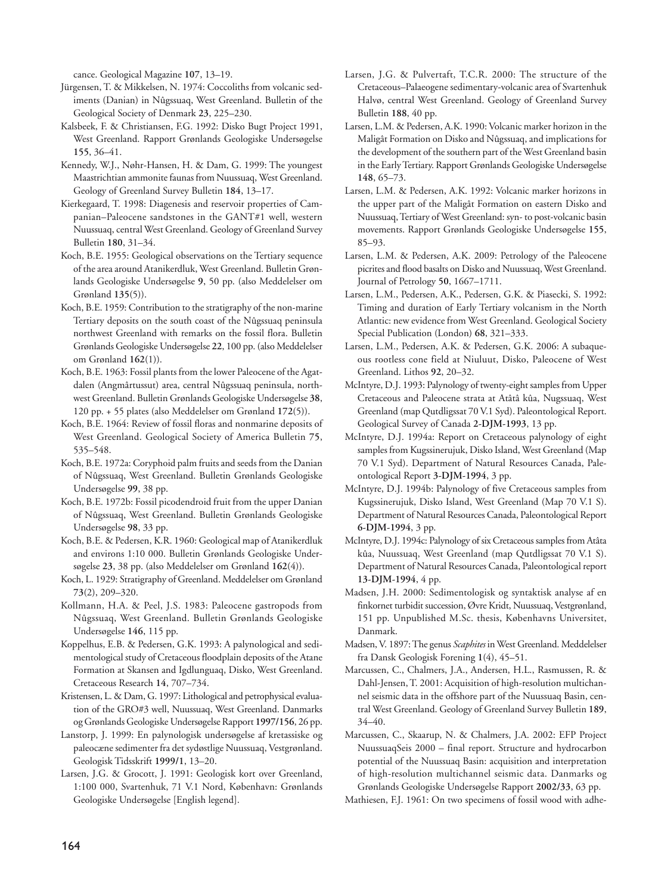cance. Geological Magazine **107**, 13–19.

- Jürgensen, T. & Mikkelsen, N. 1974: Coccoliths from volcanic sediments (Danian) in Nûgssuaq, West Greenland. Bulletin of the Geological Society of Denmark **23**, 225–230.
- Kalsbeek, F. & Christiansen, F.G. 1992: Disko Bugt Project 1991, West Greenland. Rapport Grønlands Geologiske Undersøgelse **155**, 36–41.
- Kennedy, W.J., Nøhr-Hansen, H. & Dam, G. 1999: The youngest Maastrichtian ammonite faunas from Nuussuaq, West Greenland. Geology of Greenland Survey Bulletin **184**, 13–17.
- Kierkegaard, T. 1998: Diagenesis and reservoir properties of Cam panian–Paleocene sandstones in the GANT#1 well, western Nuussuaq, central West Greenland. Geology of Greenland Survey Bulletin **180**, 31–34.
- Koch, B.E. 1955: Geological observations on the Tertiary sequence of the area around Atanikerdluk, West Greenland. Bulletin Grøn lands Geologiske Undersøgelse **9**, 50 pp. (also Meddelelser om Grønland **135**(5)).
- Koch, B.E. 1959: Contribution to the stratigraphy of the non-marine Tertiary deposits on the south coast of the Nûgssuaq peninsula northwest Greenland with remarks on the fossil flora. Bulletin Grønlands Geologiske Undersøgelse **22**, 100 pp. (also Meddelelser om Grønland **162**(1)).
- Koch, B.E. 1963: Fossil plants from the lower Paleocene of the Agatdalen (Angmârtussut) area, central Nûgssuaq peninsula, northwest Greenland. Bulletin Grønlands Geologiske Undersøgelse **38**, 120 pp. + 55 plates (also Meddelelser om Grønland **172**(5)).
- Koch, B.E. 1964: Review of fossil floras and nonmarine deposits of West Greenland. Geological Society of America Bulletin **75**, 535–548.
- Koch, B.E. 1972a: Coryphoid palm fruits and seeds from the Danian of Nûgssuaq, West Greenland. Bulletin Grønlands Geologiske Undersøgelse **99**, 38 pp.
- Koch, B.E. 1972b: Fossil picodendroid fruit from the upper Danian of Nûgssuaq, West Greenland. Bulletin Grønlands Geologiske Undersøgelse **98**, 33 pp.
- Koch, B.E. & Pedersen, K.R. 1960: Geological map of Atanikerdluk and environs 1:10 000. Bulletin Grønlands Geologiske Undersøgelse **23**, 38 pp. (also Meddelelser om Grønland **162**(4)).
- Koch, L. 1929: Stratigraphy of Greenland. Meddelelser om Grønland **73**(2), 209–320.
- Kollmann, H.A. & Peel, J.S. 1983: Paleocene gastropods from Nûgssuaq, West Greenland. Bulletin Grønlands Geologiske Undersøgelse **146**, 115 pp.
- Koppelhus, E.B. & Pedersen, G.K. 1993: A palynological and sedimentological study of Cretaceous floodplain deposits of the Atane Formation at Skansen and Igdlunguaq, Disko, West Greenland. Cretaceous Research **14**, 707–734.
- Kristensen, L. & Dam, G. 1997: Lithological and petrophysical evaluation of the GRO#3 well, Nuussuaq, West Greenland. Danmarks og Grønlands Geologiske Undersøgelse Rapport **1997/156**, 26 pp.
- Lanstorp, J. 1999: En palynologisk undersøgelse af kretassiske og paleocæne sedimenter fra det sydøstlige Nuussuaq, Vestgrønland. Geologisk Tidsskrift **1999/1**, 13–20.
- Larsen, J.G. & Grocott, J. 1991: Geologisk kort over Greenland, 1:100 000, Svartenhuk, 71 V.1 Nord, København: Grønlands Geologiske Undersøgelse [English legend].
- Larsen, J.G. & Pulvertaft, T.C.R. 2000: The structure of the Cretaceous–Palaeogene sedimentary-volcanic area of Svartenhuk Halvø, central West Greenland. Geology of Greenland Survey Bulletin **188**, 40 pp.
- Larsen, L.M. & Pedersen, A.K. 1990: Volcanic marker horizon in the Maligât Formation on Disko and Nûgssuaq, and implications for the development of the southern part of the West Greenland basin in the Early Tertiary. Rapport Grønlands Geologiske Undersøgelse **148**, 65–73.
- Larsen, L.M. & Pedersen, A.K. 1992: Volcanic marker horizons in the upper part of the Maligât Formation on eastern Disko and Nuussuaq, Tertiary of West Greenland: syn- to post-volcanic basin movements. Rapport Grønlands Geologiske Undersøgelse **155**, 85–93.
- Larsen, L.M. & Pedersen, A.K. 2009: Petrology of the Paleocene picrites and flood basalts on Disko and Nuussuaq, West Greenland. Journal of Petrology **50**, 1667–1711.
- Larsen, L.M., Pedersen, A.K., Pedersen, G.K. & Piasecki, S. 1992: Timing and duration of Early Tertiary volcanism in the North Atlantic: new evidence from West Greenland. Geological Society Special Publication (London) **68**, 321–333.
- Larsen, L.M., Pedersen, A.K. & Pedersen, G.K. 2006: A subaqueous rootless cone field at Niuluut, Disko, Paleocene of West Greenland. Lithos **92**, 20–32.
- McIntyre, D.J. 1993: Palynology of twenty-eight samples from Upper Cretaceous and Paleocene strata at Atâtâ kûa, Nugssuaq, West Greenland (map Qutdligssat 70 V.1 Syd). Paleontological Report. Geological Survey of Canada **2-DJM-1993**, 13 pp.
- McIntyre, D.J. 1994a: Report on Cretaceous palynology of eight samples from Kugssinerujuk, Disko Island, West Greenland (Map 70 V.1 Syd). Department of Natural Resources Canada, Paleontological Report **3-DJM-1994**, 3 pp.
- McIntyre, D.J. 1994b: Palynology of five Cretaceous samples from Kugssinerujuk, Disko Island, West Greenland (Map 70 V.1 S). Department of Natural Resources Canada, Paleontological Report **6-DJM-1994**, 3 pp.
- McIntyre, D.J. 1994c: Palynology of six Cretaceous samples from Atâta kûa, Nuussuaq, West Greenland (map Qutdligssat 70 V.1 S). Department of Natural Resources Canada, Paleontological report **13-DJM-1994**, 4 pp.
- Madsen, J.H. 2000: Sedimentologisk og syntaktisk analyse af en finkornet turbidit succession, Øvre Kridt, Nuussuaq, Vestgrønland, 151 pp. Unpublished M.Sc. thesis, Københavns Universitet, Danmark.
- Madsen, V. 1897: The genus *Scaphites* in West Greenland. Meddelelser fra Dansk Geologisk Forening **1**(4), 45–51.
- Marcussen, C., Chalmers, J.A., Andersen, H.L., Rasmussen, R. & Dahl-Jensen, T. 2001: Acquisition of high-resolution multichannel seismic data in the offshore part of the Nuussuaq Basin, central West Greenland. Geology of Greenland Survey Bulletin **189**, 34–40.
- Marcussen, C., Skaarup, N. & Chalmers, J.A. 2002: EFP Project NuussuaqSeis 2000 – final report. Structure and hydrocarbon potential of the Nuussuaq Basin: acquisition and interpretation of high-resolution multichannel seismic data. Danmarks og Grønlands Geologiske Undersøgelse Rapport **2002/33**, 63 pp.
- Mathiesen, F.J. 1961: On two specimens of fossil wood with adhe-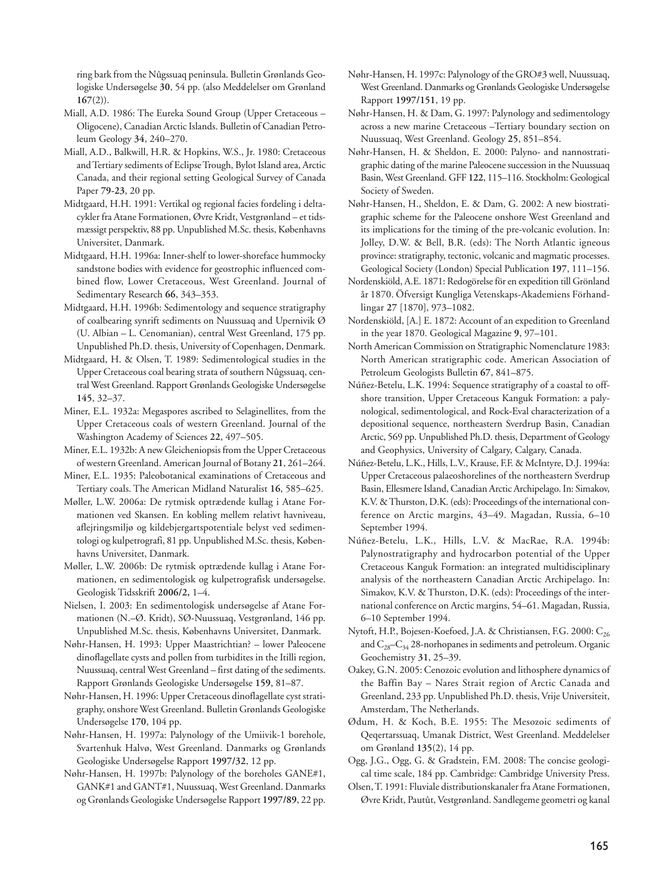ring bark from the Nûgssuaq peninsula. Bulletin Grønlands Geo logiske Undersøgelse **30**, 54 pp. (also Meddelelser om Grønland **167**(2)).

- Miall, A.D. 1986: The Eureka Sound Group (Upper Cretaceous Oligocene), Canadian Arctic Islands. Bulletin of Canadian Petro leum Geology **34**, 240–270.
- Miall, A.D., Balkwill, H.R. & Hopkins, W.S., Jr. 1980: Cretaceous and Tertiary sediments of Eclipse Trough, Bylot Island area, Arctic Canada, and their regional setting Geological Survey of Canada Paper **79-23**, 20 pp.
- Midtgaard, H.H. 1991: Vertikal og regional facies fordeling i deltacykler fra Atane Formationen, Øvre Kridt, Vestgrønland – et tids mæssigt perspektiv, 88 pp. Unpublished M.Sc. thesis, Københavns Universitet, Danmark.
- Midtgaard, H.H. 1996a: Inner-shelf to lower-shoreface hummocky sandstone bodies with evidence for geostrophic influenced combined flow, Lower Cretaceous, West Greenland. Journal of Sedimentary Research **66**, 343–353.
- Midtgaard, H.H. 1996b: Sedimentology and sequence stratigraphy of coalbearing synrift sediments on Nuussuaq and Upernivik Ø (U. Albian – L. Cenomanian), central West Greenland, 175 pp. Unpublished Ph.D. thesis, University of Copenhagen, Denmark.
- Midtgaard, H. & Olsen, T. 1989: Sedimentological studies in the Upper Cretaceous coal bearing strata of southern Nûgssuaq, central West Greenland. Rapport Grønlands Geologiske Undersøgelse **145**, 32–37.
- Miner, E.L. 1932a: Megaspores ascribed to Selaginellites, from the Upper Cretaceous coals of western Greenland. Journal of the Washington Academy of Sciences **22**, 497–505.
- Miner, E.L. 1932b: A new Gleicheniopsis from the Upper Cretaceous of western Greenland. American Journal of Botany **21**, 261–264.
- Miner, E.L. 1935: Paleobotanical examinations of Cretaceous and Tertiary coals. The American Midland Naturalist **16**, 585–625.
- Møller, L.W. 2006a: De rytmisk optrædende kullag i Atane For mationen ved Skansen. En kobling mellem relativt havniveau, aflejringsmiljø og kildebjergartspotentiale belyst ved sedimentologi og kulpetrografi, 81 pp. Unpublished M.Sc. thesis, Københavns Universitet, Danmark.
- Møller, L.W. 2006b: De rytmisk optrædende kullag i Atane For mationen, en sedimentologisk og kulpetrografisk undersøgelse. Geologisk Tidsskrift **2006/2,** 1–4.
- Nielsen, I. 2003: En sedimentologisk undersøgelse af Atane For mationen (N.–Ø. Kridt), SØ-Nuussuaq, Vestgrønland, 146 pp. Unpublished M.Sc. thesis, Københavns Universitet, Danmark.
- Nøhr-Hansen, H. 1993: Upper Maastrichtian? lower Paleocene dino flagellate cysts and pollen from turbidites in the Itilli region, Nuussuaq, central West Greenland – first dating of the sediments. Rapport Grønlands Geologiske Undersøgelse **159**, 81–87.
- Nøhr-Hansen, H. 1996: Upper Cretaceous dinoflagellate cyst strati graphy, onshore West Greenland. Bulletin Grønlands Geologiske Undersøgelse **170**, 104 pp.
- Nøhr-Hansen, H. 1997a: Palynology of the Umiivik-1 borehole, Svartenhuk Halvø, West Greenland. Danmarks og Grønlands Geologiske Undersøgelse Rapport 1997/32, 12 pp.
- Nøhr-Hansen, H. 1997b: Palynology of the boreholes GANE#1, GANK#1 and GANT#1, Nuussuaq, West Greenland. Danmarks og Grønlands Geologiske Undersøgelse Rapport **1997/89**, 22 pp.
- Nøhr-Hansen, H. 1997c: Palynology of the GRO#3 well, Nuussuaq, West Greenland. Danmarks og Grønlands Geologiske Undersøgelse Rapport **1997/151**, 19 pp.
- Nøhr-Hansen, H. & Dam, G. 1997: Palynology and sedimentology across a new marine Cretaceous –Tertiary boundary section on Nuussuaq, West Greenland. Geology **25**, 851–854.
- Nøhr-Hansen, H. & Sheldon, E. 2000: Palyno- and nannostratigraphic dating of the marine Paleocene succession in the Nuussuaq Basin, West Greenland. GFF **122**, 115–116. Stockholm: Geological Society of Sweden.
- Nøhr-Hansen, H., Sheldon, E. & Dam, G. 2002: A new biostratigraphic scheme for the Paleocene onshore West Greenland and its implications for the timing of the pre-volcanic evolution. In: Jolley, D.W. & Bell, B.R. (eds): The North Atlantic igneous province: stratigraphy, tectonic, volcanic and magmatic processes. Geological Society (London) Special Publication **197**, 111–156.
- Nordenskiöld, A.E. 1871: Redogörelse för en expedition till Grönland år 1870. Öfversigt Kungliga Vetenskaps-Akademiens Förhandlingar **27** [1870], 973–1082.
- Nordenskiöld, [A.] E. 1872: Account of an expedition to Greenland in the year 1870. Geological Magazine **9**, 97–101.
- North American Commission on Stratigraphic Nomenclature 1983: North American stratigraphic code. American Association of Petroleum Geologists Bulletin **67**, 841–875.
- Núñez-Betelu, L.K. 1994: Sequence stratigraphy of a coastal to offshore transition, Upper Cretaceous Kanguk Formation: a palynological, sedimentological, and Rock-Eval characterization of a depositional sequence, northeastern Sverdrup Basin, Canadian Arctic, 569 pp. Unpublished Ph.D. thesis, Department of Geology and Geophysics, University of Calgary, Calgary, Canada.
- Núñez-Betelu, L.K., Hills, L.V., Krause, F.F. & McIntyre, D.J. 1994a: Upper Cretaceous palaeoshorelines of the northeastern Sverdrup Basin, Ellesmere Island, Canadian Arctic Archipelago. In: Simakov, K.V. & Thurston, D.K. (eds): Proceedings of the international conference on Arctic margins, 43–49. Magadan, Russia, 6–10 September 1994.
- Núñez-Betelu, L.K., Hills, L.V. & MacRae, R.A. 1994b: Palynostratigraphy and hydrocarbon potential of the Upper Cretaceous Kanguk Formation: an integrated multidisciplinary analysis of the northeastern Canadian Arctic Archipelago. In: Simakov, K.V. & Thurston, D.K. (eds): Proceedings of the international conference on Arctic margins, 54–61. Magadan, Russia, 6–10 September 1994.
- Nytoft, H.P., Bojesen-Koefoed, J.A. & Christiansen, F.G. 2000: C<sub>26</sub> and  $C_{28}-C_{34}$  28-norhopanes in sediments and petroleum. Organic Geochemistry **31**, 25–39.
- Oakey, G.N. 2005: Cenozoic evolution and lithosphere dynamics of the Baffin Bay – Nares Strait region of Arctic Canada and Greenland, 233 pp. Unpublished Ph.D. thesis, Vrije Universiteit, Amsterdam, The Netherlands.
- Ødum, H. & Koch, B.E. 1955: The Mesozoic sediments of Qeqertarssuaq, Umanak District, West Greenland. Meddelelser om Grønland **135**(2), 14 pp.
- Ogg, J.G., Ogg, G. & Gradstein, F.M. 2008: The concise geological time scale, 184 pp. Cambridge: Cambridge University Press.
- Olsen, T. 1991: Fluviale distributionskanaler fra Atane Formationen, Øvre Kridt, Pautût, Vestgrønland. Sandlegeme geometri og kanal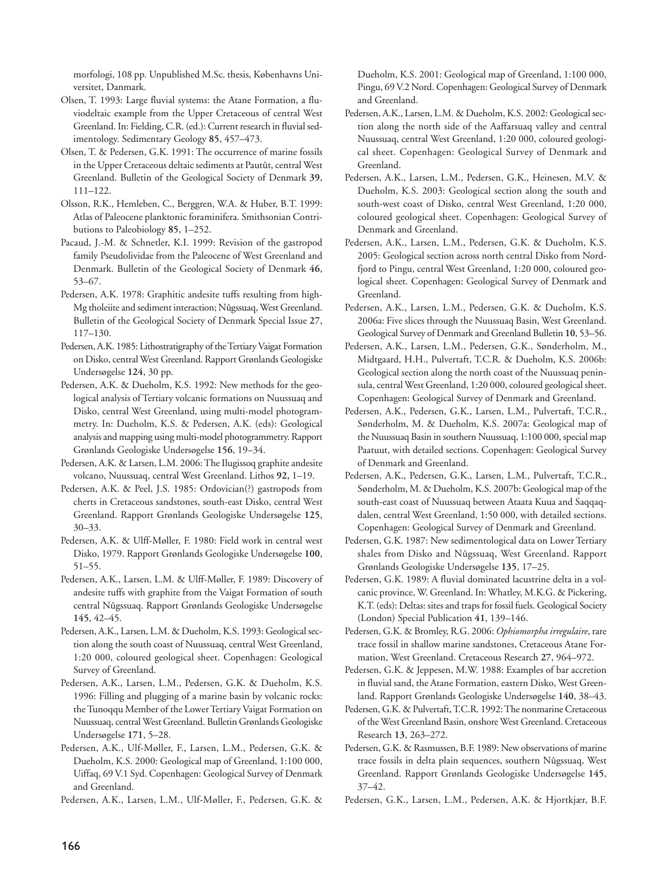morfologi, 108 pp. Unpublished M.Sc. thesis, Københavns Universitet, Danmark.

- Olsen, T. 1993: Large fluvial systems: the Atane Formation, a fluviodeltaic example from the Upper Cretaceous of central West Greenland. In: Fielding, C.R. (ed.): Current research in fluvial sedimentology. Sedimentary Geology **85**, 457–473.
- Olsen, T. & Pedersen, G.K. 1991: The occurrence of marine fossils in the Upper Cretaceous deltaic sediments at Pautût, central West Greenland. Bulletin of the Geological Society of Denmark **39**, 111–122.
- Olsson, R.K., Hemleben, C., Berggren, W.A. & Huber, B.T. 1999: Atlas of Paleocene planktonic foraminifera. Smithsonian Contri butions to Paleobiology **85**, 1–252.
- Pacaud, J.-M. & Schnetler, K.I. 1999: Revision of the gastropod family Pseudolividae from the Paleocene of West Greenland and Denmark. Bulletin of the Geological Society of Denmark **46**, 53–67.
- Pedersen, A.K. 1978: Graphitic andesite tuffs resulting from high-Mg tholeiite and sediment interaction; Nûgssuaq, West Greenland. Bulletin of the Geological Society of Denmark Special Issue **27**, 117–130.
- Pedersen, A.K. 1985: Lithostratigraphy of the Tertiary Vaigat Formation on Disko, central West Greenland. Rapport Grønlands Geologiske Undersøgelse **124**, 30 pp.
- Pedersen, A.K. & Dueholm, K.S. 1992: New methods for the geological analysis of Tertiary volcanic formations on Nuussuaq and Disko, central West Greenland, using multi-model photogrammetry. In: Dueholm, K.S. & Pedersen, A.K. (eds): Geological analysis and mapping using multi-model photogrammetry. Rapport Grønlands Geologiske Undersøgelse **156**, 19–34.
- Pedersen, A.K. & Larsen, L.M. 2006: The Ilugissoq graphite andesite volcano, Nuussuaq, central West Greenland. Lithos **92,** 1–19.
- Pedersen, A.K. & Peel, J.S. 1985: Ordovician(?) gastropods from cherts in Cretaceous sandstones, south-east Disko, central West Green land. Rapport Grønlands Geologiske Undersøgelse **125**, 30–33.
- Pedersen, A.K. & Ulff-Møller, F. 1980: Field work in central west Disko, 1979. Rapport Grønlands Geologiske Undersøgelse **100**, 51–55.
- Pedersen, A.K., Larsen, L.M. & Ulff-Møller, F. 1989: Discovery of andesite tuffs with graphite from the Vaigat Formation of south central Nûgssuaq. Rapport Grønlands Geologiske Undersøgelse **145**, 42–45.
- Pedersen, A.K., Larsen, L.M. & Dueholm, K.S. 1993: Geological section along the south coast of Nuussuaq, central West Greenland, 1:20 000, coloured geological sheet. Copenhagen: Geological Survey of Greenland.
- Pedersen, A.K., Larsen, L.M., Pedersen, G.K. & Dueholm, K.S. 1996: Filling and plugging of a marine basin by volcanic rocks: the Tunoqqu Member of the Lower Tertiary Vaigat Formation on Nuussuaq, central West Greenland. Bulletin Grønlands Geologiske Undersøgelse **171**, 5–28.
- Pedersen, A.K., Ulf-Møller, F., Larsen, L.M., Pedersen, G.K. & Dueholm, K.S. 2000: Geological map of Greenland, 1:100 000, Uiffaq, 69 V.1 Syd. Copenhagen: Geological Survey of Denmark and Greenland.

Pedersen, A.K., Larsen, L.M., Ulf-Møller, F., Pedersen, G.K. &

Dueholm, K.S. 2001: Geological map of Greenland, 1:100 000, Pingu, 69 V.2 Nord. Copenhagen: Geological Survey of Denmark and Greenland.

- Pedersen, A.K., Larsen, L.M. & Dueholm, K.S. 2002: Geological section along the north side of the Aaffarsuaq valley and central Nuussuaq, central West Greenland, 1:20 000, coloured geological sheet. Copenhagen: Geological Survey of Denmark and Greenland.
- Pedersen, A.K., Larsen, L.M., Pedersen, G.K., Heinesen, M.V. & Dueholm, K.S. 2003: Geological section along the south and south-west coast of Disko, central West Greenland, 1:20 000, coloured geological sheet. Copenhagen: Geological Survey of Denmark and Greenland.
- Pedersen, A.K., Larsen, L.M., Pedersen, G.K. & Dueholm, K.S. 2005: Geological section across north central Disko from Nordfjord to Pingu, central West Greenland, 1:20 000, coloured geological sheet. Copenhagen: Geological Survey of Denmark and Greenland.
- Pedersen, A.K., Larsen, L.M., Pedersen, G.K. & Dueholm, K.S. 2006a: Five slices through the Nuussuaq Basin, West Greenland. Geological Survey of Denmark and Greenland Bulletin **10**, 53–56.
- Pedersen, A.K., Larsen, L.M., Pedersen, G.K., Sønderholm, M., Midtgaard, H.H., Pulvertaft, T.C.R. & Dueholm, K.S. 2006b: Geological section along the north coast of the Nuussuaq peninsula, central West Greenland, 1:20 000, coloured geological sheet. Copenhagen: Geological Survey of Denmark and Greenland.
- Pedersen, A.K., Pedersen, G.K., Larsen, L.M., Pulvertaft, T.C.R., Sønderholm, M. & Dueholm, K.S. 2007a: Geological map of the Nuussuaq Basin in southern Nuussuaq, 1:100 000, special map Paatuut, with detailed sections. Copenhagen: Geological Survey of Denmark and Greenland.
- Pedersen, A.K., Pedersen, G.K., Larsen, L.M., Pulvertaft, T.C.R., Sønderholm, M. & Dueholm, K.S. 2007b: Geological map of the south-east coast of Nuussuaq between Ataata Kuua and Saqqaqdalen, central West Greenland, 1:50 000, with detailed sections. Copenhagen: Geological Survey of Denmark and Greenland.
- Pedersen, G.K. 1987: New sedimentological data on Lower Tertiary shales from Disko and Nûgssuaq, West Greenland. Rapport Grønlands Geologiske Undersøgelse **135**, 17–25.
- Pedersen, G.K. 1989: A fluvial dominated lacustrine delta in a volcanic province, W. Greenland. In: Whatley, M.K.G. & Pickering, K.T. (eds): Deltas: sites and traps for fossil fuels. Geological Society (London) Special Publication **41**, 139–146.
- Pedersen, G.K. & Bromley, R.G. 2006: *Ophiomorpha irregulaire*, rare trace fossil in shallow marine sandstones, Cretaceous Atane For mation, West Greenland. Cretaceous Research **27**, 964–972.
- Pedersen, G.K. & Jeppesen, M.W. 1988: Examples of bar accretion in fluvial sand, the Atane Formation, eastern Disko, West Greenland. Rapport Grønlands Geologiske Undersøgelse **140**, 38–43.
- Pedersen, G.K. & Pulvertaft, T.C.R. 1992: The nonmarine Cretaceous of the West Greenland Basin, onshore West Greenland. Cretaceous Research **13**, 263–272.
- Pedersen, G.K. & Rasmussen, B.F. 1989: New observations of marine trace fossils in delta plain sequences, southern Nûgssuaq, West Greenland. Rapport Grønlands Geologiske Undersøgelse **145**, 37–42.
- Pedersen, G.K., Larsen, L.M., Pedersen, A.K. & Hjortkjær, B.F.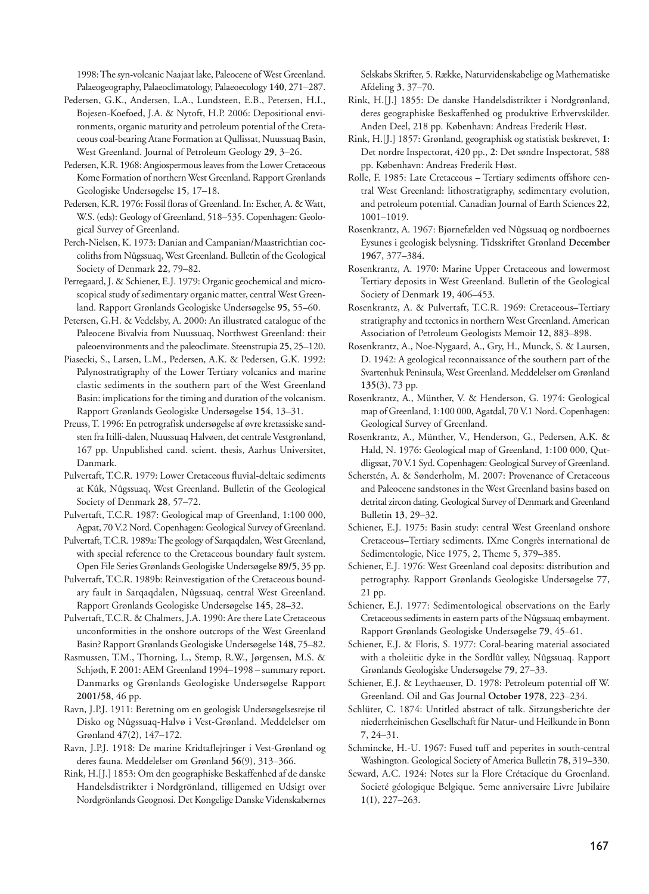1998: The syn-volcanic Naajaat lake, Paleocene of West Greenland. Palaeogeography, Palaeoclimatology, Palaeoecology **140**, 271–287.

- Pedersen, G.K., Andersen, L.A., Lundsteen, E.B., Petersen, H.I., Bojesen-Koefoed, J.A. & Nytoft, H.P. 2006: Depositional environments, organic maturity and petroleum potential of the Cretaceous coal-bearing Atane Formation at Qullissat, Nuussuaq Basin, West Greenland. Journal of Petroleum Geology **29**, 3–26.
- Pedersen, K.R. 1968: Angiospermous leaves from the Lower Cretaceous Kome Formation of northern West Greenland. Rapport Grønlands Geologiske Undersøgelse **15**, 17–18.
- Pedersen, K.R. 1976: Fossil floras of Greenland. In: Escher, A. & Watt, W.S. (eds): Geology of Greenland, 518-535. Copenhagen: Geological Survey of Greenland.
- Perch-Nielsen, K. 1973: Danian and Campanian/Maastrichtian coccoliths from Nûgssuaq, West Greenland. Bulletin of the Geological Society of Denmark **22**, 79–82.
- Perregaard, J. & Schiener, E.J. 1979: Organic geochemical and microscopical study of sedimentary organic matter, central West Greenland. Rapport Grønlands Geologiske Undersøgelse **95**, 55–60.
- Petersen, G.H. & Vedelsby, A. 2000: An illustrated catalogue of the Paleocene Bivalvia from Nuussuaq, Northwest Greenland: their paleoenvironments and the paleoclimate. Steenstrupia **25**, 25–120.
- Piasecki, S., Larsen, L.M., Pedersen, A.K. & Pedersen, G.K. 1992: Palynostratigraphy of the Lower Tertiary volcanics and marine clastic sediments in the southern part of the West Greenland Basin: implications for the timing and duration of the volcanism. Rapport Grønlands Geologiske Undersøgelse **154**, 13–31.
- Preuss, T. 1996: En petrografisk undersøgelse af øvre kretassiske sandsten fra Itilli-dalen, Nuussuaq Halvøen, det centrale Vestgrønland, 167 pp. Unpublished cand. scient. thesis, Aarhus Universitet, Danmark.
- Pulvertaft, T.C.R. 1979: Lower Cretaceous fluvial-deltaic sediments at Kûk, Nûgssuaq, West Greenland. Bulletin of the Geological Society of Denmark **28**, 57–72.
- Pulvertaft, T.C.R. 1987: Geological map of Greenland, 1:100 000, Agpat, 70 V.2 Nord. Copenhagen: Geological Survey of Greenland.
- Pulvertaft, T.C.R. 1989a: The geology of Sarqaqdalen, West Greenland, with special reference to the Cretaceous boundary fault system. Open File Series Grønlands Geologiske Undersøgelse **89/5**, 35 pp.
- Pulvertaft, T.C.R. 1989b: Reinvestigation of the Cretaceous boundary fault in Sarqaqdalen, Nûgssuaq, central West Greenland. Rapport Grønlands Geologiske Undersøgelse **145**, 28–32.
- Pulvertaft, T.C.R. & Chalmers, J.A. 1990: Are there Late Cretaceous unconformities in the onshore outcrops of the West Greenland Basin? Rapport Grønlands Geologiske Undersøgelse **148**, 75–82.
- Rasmussen, T.M., Thorning, L., Stemp, R.W., Jørgensen, M.S. & Schjøth, F. 2001: AEM Greenland 1994–1998 – summary report. Danmarks og Grønlands Geologiske Undersøgelse Rapport **2001/58**, 46 pp.
- Ravn, J.P.J. 1911: Beretning om en geologisk Undersøgelsesrejse til Disko og Nûgssuaq-Halvø i Vest-Grønland. Meddelelser om Grønland **47**(2), 147–172.
- Ravn, J.P.J. 1918: De marine Kridtaflejringer i Vest-Grønland og deres fauna. Meddelelser om Grønland **56**(9), 313–366.
- Rink, H.[J.] 1853: Om den geographiske Beskaffenhed af de danske Handelsdistrikter i Nordgrönland, tilligemed en Udsigt over Nordgrönlands Geognosi. Det Kongelige Danske Videnskabernes

Selskabs Skrifter, 5. Række, Naturvidenskabelige og Mathematiske Afdeling **3**, 37–70.

- Rink, H.[J.] 1855: De danske Handelsdistrikter i Nordgrønland, deres geographiske Beskaffenhed og produktive Erhvervskilder. Anden Deel, 218 pp. København: Andreas Frederik Høst.
- Rink, H.[J.] 1857: Grønland, geographisk og statistisk beskrevet, **1**: Det nordre Inspectorat, 420 pp., **2**: Det søndre Inspectorat, 588 pp. København: Andreas Frederik Høst.
- Rolle, F. 1985: Late Cretaceous Tertiary sediments offshore central West Greenland: lithostratigraphy, sedimentary evolution, and petroleum potential. Canadian Journal of Earth Sciences **22**, 1001–1019.
- Rosenkrantz, A. 1967: Bjørnefælden ved Nûgssuaq og nordboernes Eysunes i geologisk belysning. Tidsskriftet Grønland **December 1967**, 377–384.
- Rosenkrantz, A. 1970: Marine Upper Cretaceous and lowermost Tertiary deposits in West Greenland. Bulletin of the Geological Society of Denmark **19**, 406–453.
- Rosenkrantz, A. & Pulvertaft, T.C.R. 1969: Cretaceous–Tertiary stratigraphy and tectonics in northern West Greenland. American Association of Petroleum Geologists Memoir **12**, 883–898.
- Rosenkrantz, A., Noe-Nygaard, A., Gry, H., Munck, S. & Laursen, D. 1942: A geological reconnaissance of the southern part of the Svartenhuk Peninsula, West Greenland. Meddelelser om Grønland **135**(3), 73 pp.
- Rosenkrantz, A., Münther, V. & Henderson, G. 1974: Geological map of Greenland, 1:100 000, Agatdal, 70 V.1 Nord. Copenhagen: Geological Survey of Greenland.
- Rosenkrantz, A., Münther, V., Henderson, G., Pedersen, A.K. & Hald, N. 1976: Geological map of Greenland, 1:100 000, Qutdligssat, 70 V.1 Syd. Copenhagen: Geological Survey of Greenland.
- Scherstén, A. & Sønderholm, M. 2007: Provenance of Cretaceous and Paleocene sandstones in the West Greenland basins based on detrital zircon dating. Geological Survey of Denmark and Greenland Bulletin **13**, 29–32.
- Schiener, E.J. 1975: Basin study: central West Greenland onshore Cretaceous–Tertiary sediments. IXme Congrès international de Sedimentologie, Nice 1975, 2, Theme 5, 379–385.
- Schiener, E.J. 1976: West Greenland coal deposits: distribution and petrography. Rapport Grønlands Geologiske Undersøgelse **77**, 21 pp.
- Schiener, E.J. 1977: Sedimentological observations on the Early Cretaceous sediments in eastern parts of the Nûgssuaq embayment. Rapport Grønlands Geologiske Undersøgelse **79**, 45–61.
- Schiener, E.J. & Floris, S. 1977: Coral-bearing material associated with a tholeiitic dyke in the Sordlût valley, Nûgssuaq. Rapport Grønlands Geologiske Undersøgelse **79**, 27–33.
- Schiener, E.J. & Leythaeuser, D. 1978: Petroleum potential off W. Greenland. Oil and Gas Journal **October 1978**, 223–234.
- Schlüter, C. 1874: Untitled abstract of talk. Sitzungsberichte der niederrheinischen Gesellschaft für Natur- und Heilkunde in Bonn **7**, 24–31.
- Schmincke, H.-U. 1967: Fused tuff and peperites in south-central Washington. Geological Society of America Bulletin **78**, 319–330.
- Seward, A.C. 1924: Notes sur la Flore Crétacique du Groenland. Societé géologique Belgique. 5eme anniversaire Livre Jubilaire **1**(1), 227–263.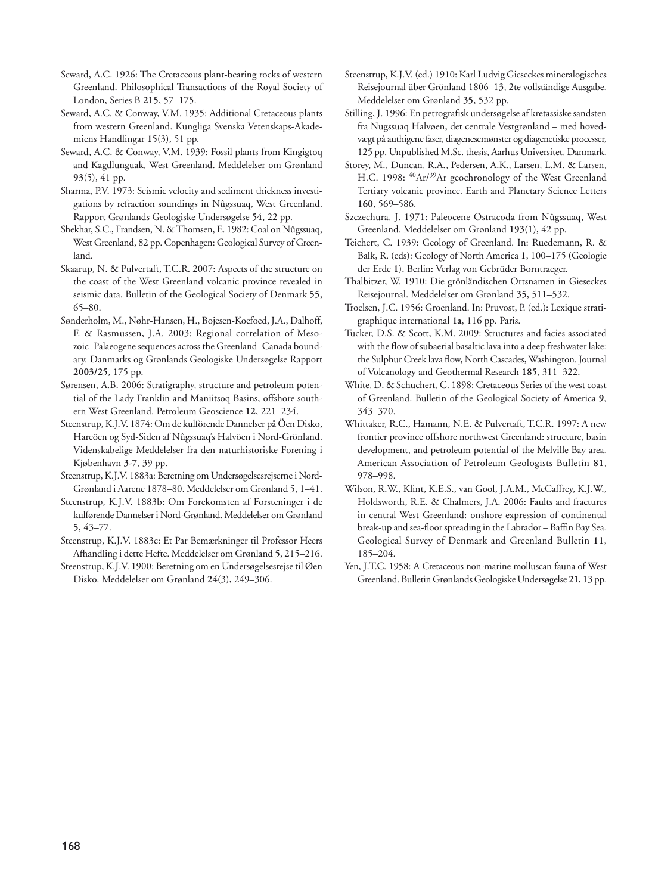- Seward, A.C. 1926: The Cretaceous plant-bearing rocks of western Greenland. Philosophical Transactions of the Royal Society of London, Series B **215**, 57–175.
- Seward, A.C. & Conway, V.M. 1935: Additional Cretaceous plants from western Greenland. Kungliga Svenska Vetenskaps-Akademiens Handlingar **15**(3), 51 pp.
- Seward, A.C. & Conway, V.M. 1939: Fossil plants from Kingigtoq and Kagdlunguak, West Greenland. Meddelelser om Grønland **93**(5), 41 pp.
- Sharma, P.V. 1973: Seismic velocity and sediment thickness investigations by refraction soundings in Nûgssuaq, West Greenland. Rapport Grønlands Geologiske Undersøgelse **54**, 22 pp.
- Shekhar, S.C., Frandsen, N. & Thomsen, E. 1982: Coal on Nûgssuaq, West Greenland, 82 pp. Copenhagen: Geological Survey of Greenland.
- Skaarup, N. & Pulvertaft, T.C.R. 2007: Aspects of the structure on the coast of the West Greenland volcanic province revealed in seismic data. Bulletin of the Geological Society of Denmark **55**, 65–80.
- Sønderholm, M., Nøhr-Hansen, H., Bojesen-Koefoed, J.A., Dalhoff, F. & Rasmussen, J.A. 2003: Regional correlation of Mesozoic–Palaeogene sequences across the Greenland–Canada boundary. Danmarks og Grønlands Geologiske Undersøgelse Rapport **2003/25**, 175 pp.
- Sørensen, A.B. 2006: Stratigraphy, structure and petroleum potential of the Lady Franklin and Maniitsoq Basins, offshore southern West Greenland. Petroleum Geoscience **12**, 221–234.
- Steenstrup, K.J.V. 1874: Om de kulförende Dannelser på Öen Disko, Hareöen og Syd-Siden af Nûgssuaq's Halvöen i Nord-Grönland. Videnskabelige Meddelelser fra den naturhistoriske Forening i Kjøbenhavn **3-7**, 39 pp.
- Steenstrup, K.J.V. 1883a: Beretning om Undersøgelsesrejserne i Nord-Grønland i Aarene 1878–80. Meddelelser om Grønland **5**, 1–41.
- Steenstrup, K.J.V. 1883b: Om Forekomsten af Forsteninger i de kulførende Dannelser i Nord-Grønland. Meddelelser om Grønland **5**, 43–77.
- Steenstrup, K.J.V. 1883c: Et Par Bemærkninger til Professor Heers Afhandling i dette Hefte. Meddelelser om Grønland **5**, 215–216.
- Steenstrup, K.J.V. 1900: Beretning om en Undersøgelsesrejse til Øen Disko. Meddelelser om Grønland **24**(3), 249–306.
- Steenstrup, K.J.V. (ed.) 1910: Karl Ludvig Gieseckes mineralogisches Reisejournal über Grönland 1806–13, 2te vollständige Ausgabe. Meddelelser om Grønland **35**, 532 pp.
- Stilling, J. 1996: En petrografisk undersøgelse af kretassiske sandsten fra Nugssuaq Halvøen, det centrale Vestgrønland – med hovedvægt på authigene faser, diagenesemønster og diagenetiske processer, 125 pp. Unpublished M.Sc. thesis, Aarhus Universitet, Danmark.
- Storey, M., Duncan, R.A., Pedersen, A.K., Larsen, L.M. & Larsen, H.C. 1998: <sup>40</sup>Ar/<sup>39</sup>Ar geochronology of the West Greenland Tertiary volcanic province. Earth and Planetary Science Letters **160**, 569–586.
- Szczechura, J. 1971: Paleocene Ostracoda from Nûgssuaq, West Greenland. Meddelelser om Grønland **193**(1), 42 pp.
- Teichert, C. 1939: Geology of Greenland. In: Ruedemann, R. & Balk, R. (eds): Geology of North America **1**, 100–175 (Geologie der Erde **1**). Berlin: Verlag von Gebrüder Borntraeger.
- Thalbitzer, W. 1910: Die grönländischen Ortsnamen in Gieseckes Reisejournal. Meddelelser om Grønland **35**, 511–532.
- Troelsen, J.C. 1956: Groenland. In: Pruvost, P. (ed.): Lexique stratigraphique international **1a**, 116 pp. Paris.
- Tucker, D.S. & Scott, K.M. 2009: Structures and facies associated with the flow of subaerial basaltic lava into a deep freshwater lake: the Sulphur Creek lava flow, North Cascades, Washington. Journal of Volcanology and Geothermal Research **185**, 311–322.
- White, D. & Schuchert, C. 1898: Cretaceous Series of the west coast of Greenland. Bulletin of the Geological Society of America **9**, 343–370.
- Whittaker, R.C., Hamann, N.E. & Pulvertaft, T.C.R. 1997: A new frontier province offshore northwest Greenland: structure, basin development, and petroleum potential of the Melville Bay area. American Association of Petroleum Geologists Bulletin **81**, 978–998.
- Wilson, R.W., Klint, K.E.S., van Gool, J.A.M., McCaffrey, K.J.W., Holdsworth, R.E. & Chalmers, J.A. 2006: Faults and fractures in central West Greenland: onshore expression of continental break-up and sea-floor spreading in the Labrador – Baffin Bay Sea. Geological Survey of Denmark and Greenland Bulletin **11**, 185–204.
- Yen, J.T.C. 1958: A Cretaceous non-marine molluscan fauna of West Greenland. Bulletin Grønlands Geologiske Undersøgelse **21**, 13 pp.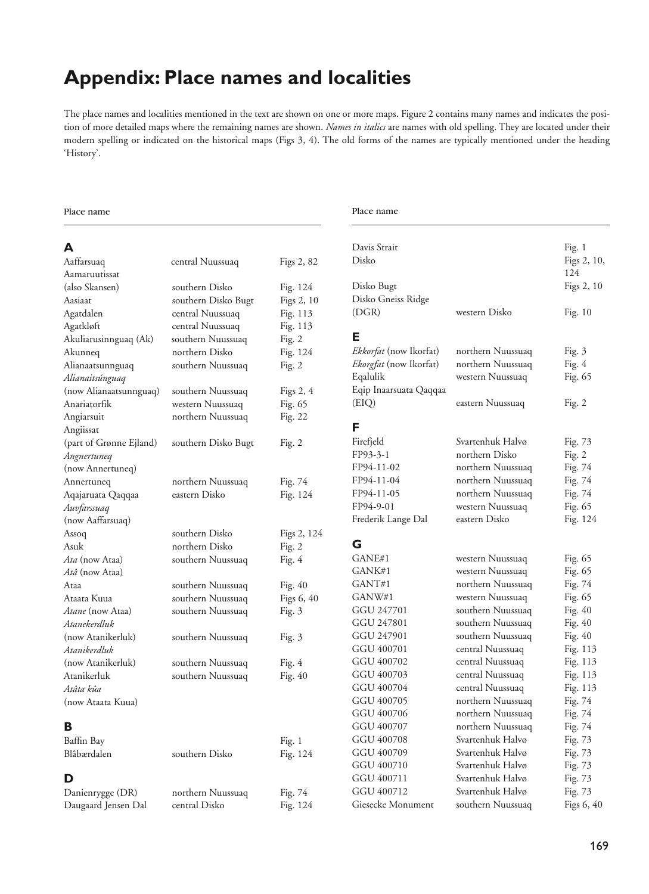# **Appendix: Place names and localities**

The place names and localities mentioned in the text are shown on one or more maps. Figure 2 contains many names and indicates the position of more detailed maps where the remaining names are shown. *Names in italics* are names with old spelling. They are located under their modern spelling or indicated on the historical maps (Figs 3, 4). The old forms of the names are typically mentioned under the heading 'History'.

### Place name **Place** name **Place** name

## **A**

| Aaffarsuaq              | central Nuussuaq    | Figs 2, 82  | D         |
|-------------------------|---------------------|-------------|-----------|
| Aamaruutissat           |                     |             |           |
| (also Skansen)          | southern Disko      | Fig. 124    | D         |
| Aasiaat                 | southern Disko Bugt | Figs 2, 10  | D         |
| Agatdalen               | central Nuussuaq    | Fig. $113$  | $(\Gamma$ |
| Agatkløft               | central Nuussuaq    | Fig. 113    |           |
| Akuliarusinnguaq (Ak)   | southern Nuussuaq   | Fig. 2      | Е         |
| Akunneq                 | northern Disko      | Fig. 124    | Eı        |
| Alianaatsunnguaq        | southern Nuussuaq   | Fig. $2$    | Eı        |
| Alianaitsúnguaq         |                     |             | Ε         |
| (now Alianaatsunnguaq)  | southern Nuussuaq   | Figs $2, 4$ | Ε         |
| Anariatorfik            | western Nuussuaq    | Fig. 65     | (F        |
| Angiarsuit              | northern Nuussuaq   | Fig. 22     |           |
| Angiissat               |                     |             | F         |
| (part of Grønne Ejland) | southern Disko Bugt | Fig. 2      | Fi        |
| Angnertuneq             |                     |             | FI        |
| (now Annertuneg)        |                     |             | FI        |
| Annertuneq              | northern Nuussuaq   | Fig. 74     | Fl        |
| Aqajaruata Qaqqaa       | eastern Disko       | Fig. 124    | FI        |
| Auvfarssuaq             |                     |             | FI        |
| (now Aaffarsuaq)        |                     |             | Fr        |
| Assoq                   | southern Disko      | Figs 2, 124 |           |
| Asuk                    | northern Disko      | Fig. 2      | G         |
| <i>Ata</i> (now Ataa)   | southern Nuussuaq   | Fig. $4$    | G         |
| Atâ (now Ataa)          |                     |             | G         |
| Ataa                    | southern Nuussuaq   | Fig. 40     | G         |
| Ataata Kuua             | southern Nuussuaq   | Figs 6, 40  | G         |
| <i>Atane</i> (now Ataa) | southern Nuussuaq   | Fig. $3$    | G         |
| Atanekerdluk            |                     |             | G         |
| (now Atanikerluk)       | southern Nuussuaq   | Fig. 3      | G         |
| Atanikerdluk            |                     |             | G         |
| (now Atanikerluk)       | southern Nuussuaq   | Fig. 4      | G         |
| Atanikerluk             | southern Nuussuaq   | Fig. $40$   | G         |
| Atâta kûa               |                     |             | G         |
| (now Ataata Kuua)       |                     |             | G         |
|                         |                     |             | G         |
| в                       |                     |             | G         |
| Baffin Bay              |                     | Fig. 1      | G         |
| Blåbærdalen             | southern Disko      | Fig. 124    | G         |
|                         |                     |             | G         |
| D                       |                     |             | G         |
| Danienrygge (DR)        | northern Nuussuaq   | Fig. 74     | G         |

Daugaard Jensen Dal central Disko Fig. 124

| Davis Strait<br>Disko<br>Disko Bugt |                                        | Fig. 1<br>Figs 2, 10,<br>124<br>Figs 2, 10 |
|-------------------------------------|----------------------------------------|--------------------------------------------|
| Disko Gneiss Ridge<br>(DGR)         | western Disko                          | Fig. 10                                    |
| Е                                   |                                        |                                            |
| Ekkorfat (now Ikorfat)              | northern Nuussuaq                      | Fig. $3$                                   |
| Ekorgfat (now Ikorfat)              | northern Nuussuaq                      | Fig. 4                                     |
| Eqalulik                            | western Nuussuaq                       | Fig. 65                                    |
| Eqip Inaarsuata Qaqqaa              |                                        |                                            |
| (EIQ)                               | eastern Nuussuaq                       | Fig. 2                                     |
|                                     |                                        |                                            |
| F                                   | Svartenhuk Halvø                       |                                            |
| Firefjeld<br>FP93-3-1               | northern Disko                         | Fig. 73                                    |
| FP94-11-02                          |                                        | Fig. $2$                                   |
| FP94-11-04                          | northern Nuussuaq                      | Fig. 74<br>Fig. 74                         |
| FP94-11-05                          | northern Nuussuaq<br>northern Nuussuaq | Fig. 74                                    |
| FP94-9-01                           | western Nuussuaq                       | Fig. 65                                    |
| Frederik Lange Dal                  | eastern Disko                          | Fig. 124                                   |
|                                     |                                        |                                            |
| G                                   |                                        |                                            |
| GANE#1                              | western Nuussuaq                       | Fig. 65                                    |
| GANK#1                              | western Nuussuaq                       | Fig. 65                                    |
| GANT#1                              | northern Nuussuaq                      | Fig. 74                                    |
| GANW#1                              | western Nuussuaq                       | Fig. 65                                    |
| GGU 247701                          | southern Nuussuaq                      | Fig. 40                                    |
| GGU 247801                          | southern Nuussuaq                      | Fig. 40                                    |
| GGU 247901                          | southern Nuussuaq                      | Fig. 40                                    |
| GGU 400701                          | central Nuussuaq                       | Fig. 113                                   |
| GGU 400702                          | central Nuussuaq                       | Fig. 113                                   |
| GGU 400703                          | central Nuussuaq                       | Fig. 113                                   |
| GGU 400704                          | central Nuussuaq                       | Fig. 113                                   |
| GGU 400705                          | northern Nuussuaq                      | Fig. 74                                    |
| GGU 400706                          | northern Nuussuaq                      | Fig. 74                                    |
| GGU 400707                          | northern Nuussuaq                      | Fig. 74                                    |
| GGU 400708                          | Svartenhuk Halvø                       | Fig. 73                                    |
| GGU 400709                          | Svartenhuk Halvø                       | Fig. 73                                    |
| GGU 400710                          | Svartenhuk Halvø                       | Fig. 73                                    |
| GGU 400711                          | Svartenhuk Halvø                       | Fig. 73                                    |
| GGU 400712                          | Svartenhuk Halvø                       | Fig. 73                                    |
| Giesecke Monument                   | southern Nuussuaq                      | Figs 6, 40                                 |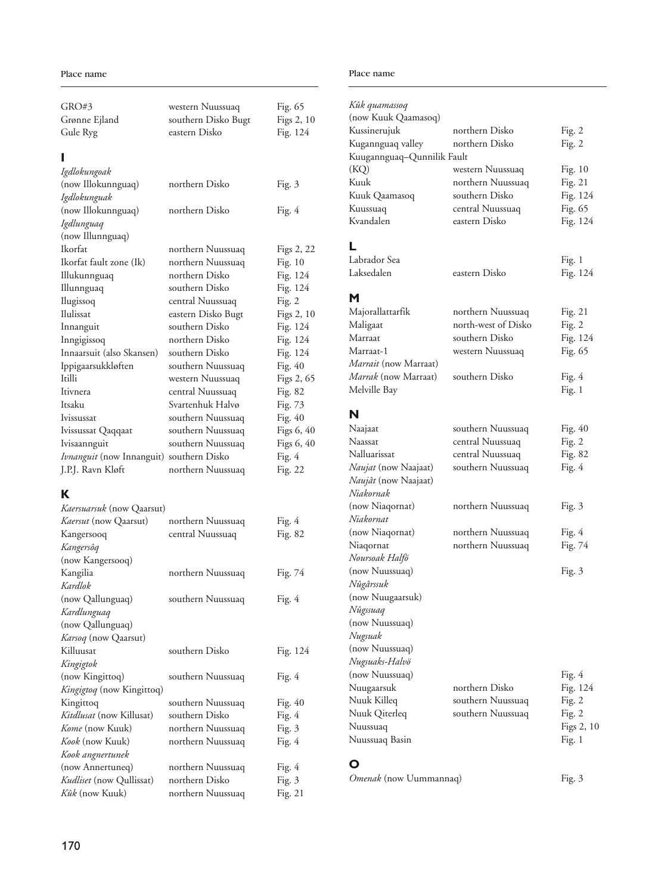| GRO#3                                                    | western Nuussuaq    | Fig. 65    |
|----------------------------------------------------------|---------------------|------------|
| Grønne Ejland                                            | southern Disko Bugt | Figs 2, 10 |
| Gule Ryg                                                 | eastern Disko       | Fig. 124   |
|                                                          |                     |            |
|                                                          |                     |            |
| Igdlokungoak                                             |                     |            |
| (now Illokunnguaq)                                       | northern Disko      | Fig. 3     |
| Igdlokunguak                                             |                     |            |
| (now Illokunnguaq)                                       | northern Disko      | Fig. 4     |
| Igdlunguaq                                               |                     |            |
| (now Illunnguaq)                                         |                     |            |
| Ikorfat                                                  | northern Nuussuaq   | Figs 2, 22 |
| Ikorfat fault zone (Ik)                                  | northern Nuussuaq   | Fig. 10    |
| Illukunnguaq                                             | northern Disko      | Fig. 124   |
| Illunnguaq                                               | southern Disko      | Fig. 124   |
| Ilugissoq                                                | central Nuussuaq    | Fig. $2$   |
| Ilulissat                                                | eastern Disko Bugt  | Figs 2, 10 |
| Innanguit                                                | southern Disko      | Fig. 124   |
| Inngigissoq                                              | northern Disko      | Fig. 124   |
| Innaarsuit (also Skansen)                                | southern Disko      | Fig. 124   |
| Ippigaarsukkløften                                       | southern Nuussuaq   | Fig. 40    |
| Itilli                                                   | western Nuussuaq    | Figs 2, 65 |
| Itivnera                                                 | central Nuussuaq    | Fig. 82    |
| Itsaku                                                   | Svartenhuk Halvø    | Fig. 73    |
| Ivissussat                                               | southern Nuussuaq   | Fig. 40    |
| Ivissussat Qaqqaat                                       | southern Nuussuaq   | Figs 6, 40 |
|                                                          | southern Nuussuaq   | Figs 6, 40 |
| Ivisaannguit<br>Ivnanguit (now Innanguit) southern Disko |                     |            |
| J.P.J. Ravn Kløft                                        |                     | Fig. 4     |
|                                                          | northern Nuussuaq   | Fig. 22    |
| К                                                        |                     |            |
| Kaersuarsuk (now Qaarsut)                                |                     |            |
| <i>Kaersut</i> (now Qaarsut)                             | northern Nuussuaq   | Fig. 4     |
| Kangersooq                                               | central Nuussuaq    | Fig. 82    |
| Kangersôq                                                |                     |            |
| (now Kangersooq)                                         |                     |            |
| Kangilia                                                 | northern Nuussuaq   | Fig. 74    |
| Kardlok                                                  |                     |            |
| (now Qallunguaq)                                         | southern Nuussuaq   |            |
|                                                          |                     | Fig. 4     |
| Kardlunguaq<br>(now Qallunguaq)                          |                     |            |
|                                                          |                     |            |
| <i>Karsoq</i> (now Qaarsut)                              |                     |            |
| Killuusat                                                | southern Disko      | Fig. 124   |
| Kingigtok                                                |                     |            |
| (now Kingittoq)                                          | southern Nuussuaq   | Fig. 4     |
| Kingigtoq (now Kingittoq)                                |                     |            |
| Kingittoq                                                | southern Nuussuaq   | Fig. 40    |
| Kitdlusat (now Killusat)                                 | southern Disko      | Fig. 4     |
| Kome (now Kuuk)                                          | northern Nuussuaq   | Fig. 3     |
| <i>Kook</i> (now Kuuk)                                   | northern Nuussuaq   | Fig. 4     |
| Kook angnertunek                                         |                     |            |
| (now Annertuneq)                                         | northern Nuussuaq   | Fig. 4     |
| Kudliset (now Qullissat)                                 | northern Disko      | Fig. 3     |
| <i>Kûk</i> (now Kuuk)                                    | northern Nuussuaq   | Fig. 21    |

### Place name Place name Place name

| Kûk quamassoq                 |                                       |                     |
|-------------------------------|---------------------------------------|---------------------|
| (now Kuuk Qaamasoq)           |                                       |                     |
| Kussinerujuk                  | northern Disko                        | Fig. $2$            |
| Kugannguaq valley             | northern Disko                        | Fig. $2$            |
| Kuugannguaq-Qunnilik Fault    |                                       |                     |
| (KQ)                          | western Nuussuaq                      | Fig. $10$           |
| Kuuk                          | northern Nuussuaq                     | Fig. 21             |
| Kuuk Qaamasoq                 | southern Disko                        | Fig. 124            |
| Kuussuaq                      | central Nuussuaq                      | Fig. 65             |
| Kvandalen                     | eastern Disko                         | Fig. 124            |
| L                             |                                       |                     |
| Labrador Sea                  |                                       | Fig. 1              |
| Laksedalen                    | eastern Disko                         | Fig. 124            |
| м                             |                                       |                     |
| Majorallattarfik              | northern Nuussuaq                     | Fig. 21             |
| Maligaat                      | north-west of Disko                   | Fig. $2$            |
| Marraat                       | southern Disko                        | Fig. 124            |
| Marraat-1                     | western Nuussuaq                      | Fig. 65             |
| Marrait (now Marraat)         |                                       |                     |
| <i>Marrak</i> (now Marraat)   | southern Disko                        | Fig. 4              |
| Melville Bay                  |                                       | Fig. $1$            |
| N                             |                                       |                     |
|                               |                                       |                     |
| Naajaat<br>Naassat            | southern Nuussuaq                     | Fig. 40             |
| Nalluarissat                  | central Nuussuaq                      | Fig. $2$<br>Fig. 82 |
| Naujat (now Naajaat)          | central Nuussuaq<br>southern Nuussuaq | Fig. 4              |
| Naujât (now Naajaat)          |                                       |                     |
| Niakornak                     |                                       |                     |
| (now Niaqornat)               | northern Nuussuaq                     |                     |
| Niakornat                     |                                       | Fig. 3              |
| (now Niaqornat)               | northern Nuussuaq                     | Fig. 4              |
| Niaqornat                     | northern Nuussuaq                     | Fig. 74             |
| Noursoak Halfö                |                                       |                     |
| (now Nuussuaq)                |                                       | Fig. 3              |
| Nûgârssuk                     |                                       |                     |
| (now Nuugaarsuk)              |                                       |                     |
| Nûgssuaq                      |                                       |                     |
| (now Nuussuaq)                |                                       |                     |
| Nugsuak                       |                                       |                     |
| (now Nuussuaq)                |                                       |                     |
| Nugsuaks-Halvö                |                                       |                     |
| (now Nuussuaq)                |                                       | Fig. 4              |
| Nuugaarsuk                    | northern Disko                        | Fig. 124            |
| Nuuk Killeq                   | southern Nuussuaq                     | Fig. 2              |
| Nuuk Qiterleq                 | southern Nuussuaq                     | Fig. $2$            |
| Nuussuaq                      |                                       | Figs 2, 10          |
| Nuussuaq Basin                |                                       | Fig. $1$            |
| O                             |                                       |                     |
| <i>Omenak</i> (now Uummannaq) |                                       | Fig. 3              |
|                               |                                       |                     |